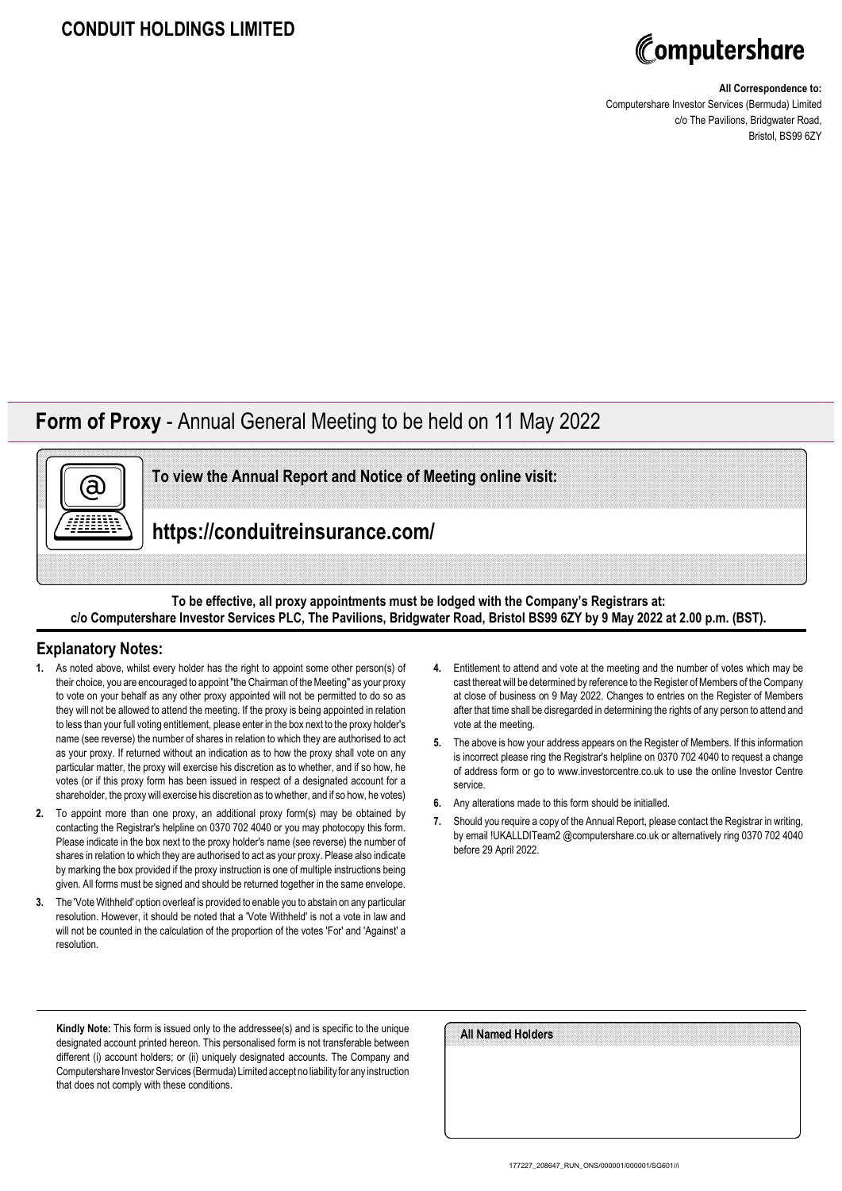

#### **All Correspondence to:**

Computershare Investor Services (Bermuda) Limited c/o The Pavilions, Bridgwater Road, Bristol, BS99 6ZY

## **Form of Proxy** - Annual General Meeting to be held on 11 May 2022



**To view the Annual Report and Notice of Meeting online visit:**

**https://conduitreinsurance.com/**

### **To be effective, all proxy appointments must be lodged with the Company's Registrars at: c/o Computershare Investor Services PLC, The Pavilions, Bridgwater Road, Bristol BS99 6ZY by 9 May 2022 at 2.00 p.m. (BST).**

### **Explanatory Notes:**

- **1.** As noted above, whilst every holder has the right to appoint some other person(s) of their choice, you are encouraged to appoint "the Chairman of the Meeting" as your proxy to vote on your behalf as any other proxy appointed will not be permitted to do so as they will not be allowed to attend the meeting. If the proxy is being appointed in relation to less than your full voting entitlement, please enter in the box next to the proxy holder's name (see reverse) the number of shares in relation to which they are authorised to act as your proxy. If returned without an indication as to how the proxy shall vote on any particular matter, the proxy will exercise his discretion as to whether, and if so how, he votes (or if this proxy form has been issued in respect of a designated account for a shareholder, the proxy will exercise his discretion as to whether, and if so how, he votes)
- **2.** To appoint more than one proxy, an additional proxy form(s) may be obtained by contacting the Registrar's helpline on 0370 702 4040 or you may photocopy this form. Please indicate in the box next to the proxy holder's name (see reverse) the number of shares in relation to which they are authorised to act as your proxy. Please also indicate by marking the box provided if the proxy instruction is one of multiple instructions being given. All forms must be signed and should be returned together in the same envelope.
- **3.** The 'Vote Withheld' option overleaf is provided to enable you to abstain on any particular resolution. However, it should be noted that a 'Vote Withheld' is not a vote in law and will not be counted in the calculation of the proportion of the votes 'For' and 'Against' a resolution.
- **4.** Entitlement to attend and vote at the meeting and the number of votes which may be cast thereat will be determined by reference to the Register of Members of the Company at close of business on 9 May 2022. Changes to entries on the Register of Members after that time shall be disregarded in determining the rights of any person to attend and vote at the meeting.
- **5.** The above is how your address appears on the Register of Members. If this information is incorrect please ring the Registrar's helpline on 0370 702 4040 to request a change of address form or go to www.investorcentre.co.uk to use the online Investor Centre service.
- **6.** Any alterations made to this form should be initialled.
- **7.** Should you require a copy of the Annual Report, please contact the Registrar in writing, by email !UKALLDITeam2 @computershare.co.uk or alternatively ring 0370 702 4040 before 29 April 2022.

**Kindly Note:** This form is issued only to the addressee(s) and is specific to the unique designated account printed hereon. This personalised form is not transferable between different (i) account holders; or (ii) uniquely designated accounts. The Company and Computershare Investor Services (Bermuda) Limited accept no liability for any instruction that does not comply with these conditions.

| All Named Holders |  |
|-------------------|--|
|                   |  |
|                   |  |
|                   |  |
|                   |  |